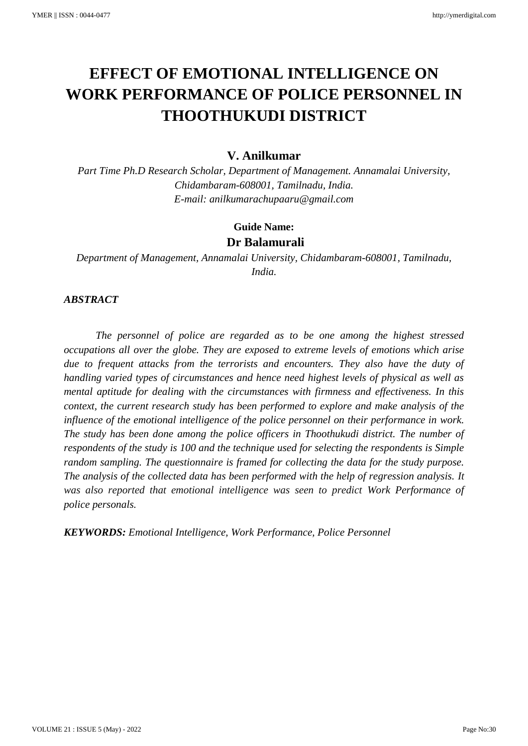# **EFFECT OF EMOTIONAL INTELLIGENCE ON WORK PERFORMANCE OF POLICE PERSONNEL IN THOOTHUKUDI DISTRICT**

# **V. Anilkumar**

*Part Time Ph.D Research Scholar, Department of Management. Annamalai University, Chidambaram-608001, Tamilnadu, India. E-mail: anilkumarachupaaru@gmail.com*

# **Guide Name: Dr Balamurali**

*Department of Management, Annamalai University, Chidambaram-608001, Tamilnadu, India.*

## *ABSTRACT*

*The personnel of police are regarded as to be one among the highest stressed occupations all over the globe. They are exposed to extreme levels of emotions which arise due to frequent attacks from the terrorists and encounters. They also have the duty of handling varied types of circumstances and hence need highest levels of physical as well as mental aptitude for dealing with the circumstances with firmness and effectiveness. In this context, the current research study has been performed to explore and make analysis of the influence of the emotional intelligence of the police personnel on their performance in work. The study has been done among the police officers in Thoothukudi district. The number of respondents of the study is 100 and the technique used for selecting the respondents is Simple random sampling. The questionnaire is framed for collecting the data for the study purpose. The analysis of the collected data has been performed with the help of regression analysis. It was also reported that emotional intelligence was seen to predict Work Performance of police personals.*

*KEYWORDS: Emotional Intelligence, Work Performance, Police Personnel*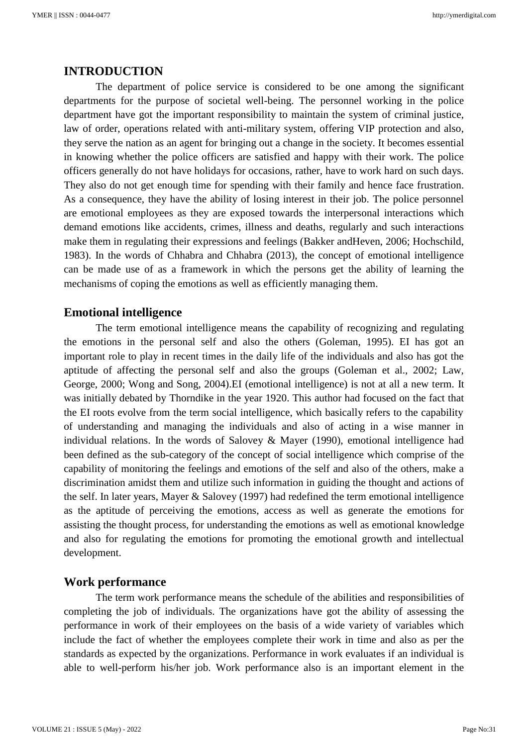## **INTRODUCTION**

The department of police service is considered to be one among the significant departments for the purpose of societal well-being. The personnel working in the police department have got the important responsibility to maintain the system of criminal justice, law of order, operations related with anti-military system, offering VIP protection and also, they serve the nation as an agent for bringing out a change in the society. It becomes essential in knowing whether the police officers are satisfied and happy with their work. The police officers generally do not have holidays for occasions, rather, have to work hard on such days. They also do not get enough time for spending with their family and hence face frustration. As a consequence, they have the ability of losing interest in their job. The police personnel are emotional employees as they are exposed towards the interpersonal interactions which demand emotions like accidents, crimes, illness and deaths, regularly and such interactions make them in regulating their expressions and feelings (Bakker andHeven, 2006; Hochschild, 1983). In the words of Chhabra and Chhabra (2013), the concept of emotional intelligence can be made use of as a framework in which the persons get the ability of learning the mechanisms of coping the emotions as well as efficiently managing them.

#### **Emotional intelligence**

The term emotional intelligence means the capability of recognizing and regulating the emotions in the personal self and also the others (Goleman, 1995). EI has got an important role to play in recent times in the daily life of the individuals and also has got the aptitude of affecting the personal self and also the groups (Goleman et al., 2002; Law, George, 2000; Wong and Song, 2004).EI (emotional intelligence) is not at all a new term. It was initially debated by Thorndike in the year 1920. This author had focused on the fact that the EI roots evolve from the term social intelligence, which basically refers to the capability of understanding and managing the individuals and also of acting in a wise manner in individual relations. In the words of Salovey & Mayer (1990), emotional intelligence had been defined as the sub-category of the concept of social intelligence which comprise of the capability of monitoring the feelings and emotions of the self and also of the others, make a discrimination amidst them and utilize such information in guiding the thought and actions of the self. In later years, Mayer & Salovey (1997) had redefined the term emotional intelligence as the aptitude of perceiving the emotions, access as well as generate the emotions for assisting the thought process, for understanding the emotions as well as emotional knowledge and also for regulating the emotions for promoting the emotional growth and intellectual development.

## **Work performance**

The term work performance means the schedule of the abilities and responsibilities of completing the job of individuals. The organizations have got the ability of assessing the performance in work of their employees on the basis of a wide variety of variables which include the fact of whether the employees complete their work in time and also as per the standards as expected by the organizations. Performance in work evaluates if an individual is able to well-perform his/her job. Work performance also is an important element in the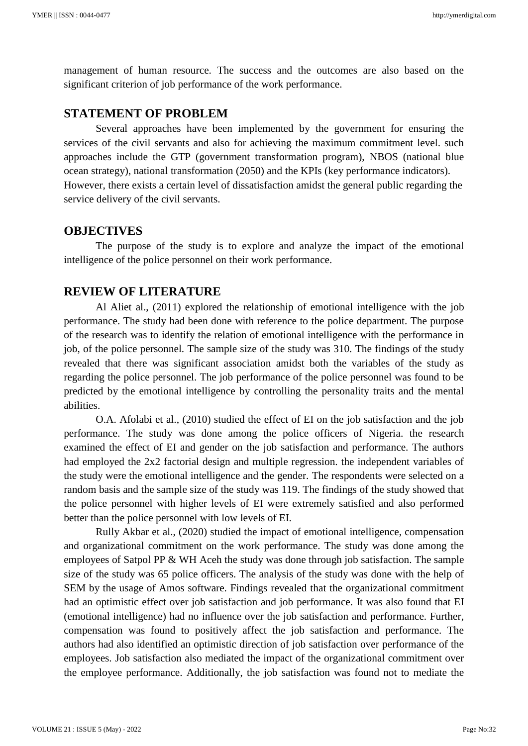management of human resource. The success and the outcomes are also based on the significant criterion of job performance of the work performance.

# **STATEMENT OF PROBLEM**

Several approaches have been implemented by the government for ensuring the services of the civil servants and also for achieving the maximum commitment level. such approaches include the GTP (government transformation program), NBOS (national blue ocean strategy), national transformation (2050) and the KPIs (key performance indicators). However, there exists a certain level of dissatisfaction amidst the general public regarding the service delivery of the civil servants.

## **OBJECTIVES**

The purpose of the study is to explore and analyze the impact of the emotional intelligence of the police personnel on their work performance.

## **REVIEW OF LITERATURE**

Al Aliet al., (2011) explored the relationship of emotional intelligence with the job performance. The study had been done with reference to the police department. The purpose of the research was to identify the relation of emotional intelligence with the performance in job, of the police personnel. The sample size of the study was 310. The findings of the study revealed that there was significant association amidst both the variables of the study as regarding the police personnel. The job performance of the police personnel was found to be predicted by the emotional intelligence by controlling the personality traits and the mental abilities.

O.A. Afolabi et al., (2010) studied the effect of EI on the job satisfaction and the job performance. The study was done among the police officers of Nigeria. the research examined the effect of EI and gender on the job satisfaction and performance. The authors had employed the 2x2 factorial design and multiple regression. the independent variables of the study were the emotional intelligence and the gender. The respondents were selected on a random basis and the sample size of the study was 119. The findings of the study showed that the police personnel with higher levels of EI were extremely satisfied and also performed better than the police personnel with low levels of EI.

Rully Akbar et al., (2020) studied the impact of emotional intelligence, compensation and organizational commitment on the work performance. The study was done among the employees of Satpol PP & WH Aceh the study was done through job satisfaction. The sample size of the study was 65 police officers. The analysis of the study was done with the help of SEM by the usage of Amos software. Findings revealed that the organizational commitment had an optimistic effect over job satisfaction and job performance. It was also found that EI (emotional intelligence) had no influence over the job satisfaction and performance. Further, compensation was found to positively affect the job satisfaction and performance. The authors had also identified an optimistic direction of job satisfaction over performance of the employees. Job satisfaction also mediated the impact of the organizational commitment over the employee performance. Additionally, the job satisfaction was found not to mediate the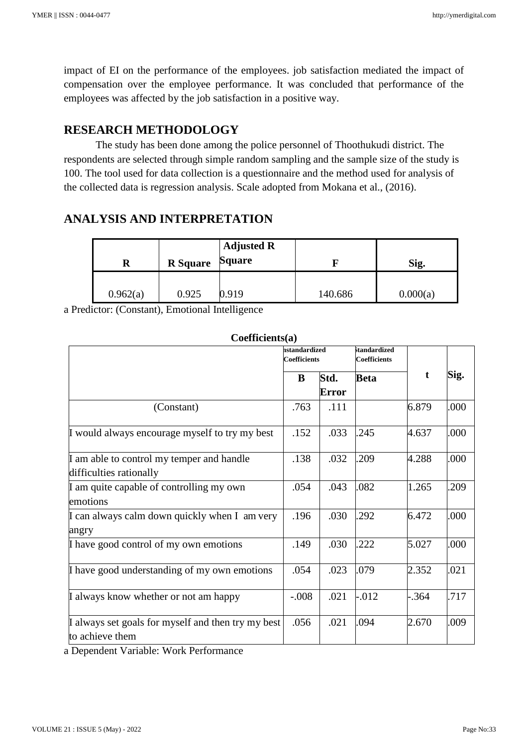impact of EI on the performance of the employees. job satisfaction mediated the impact of compensation over the employee performance. It was concluded that performance of the employees was affected by the job satisfaction in a positive way.

# **RESEARCH METHODOLOGY**

The study has been done among the police personnel of Thoothukudi district. The respondents are selected through simple random sampling and the sample size of the study is 100. The tool used for data collection is a questionnaire and the method used for analysis of the collected data is regression analysis. Scale adopted from Mokana et al., (2016).

# **ANALYSIS AND INTERPRETATION**

| R        | <b>R</b> Square | <b>Adjusted R</b><br><b>Square</b> |         | Sig.     |  |  |
|----------|-----------------|------------------------------------|---------|----------|--|--|
| 0.962(a) | 0.925           | 0.919                              | 140.686 | 0.000(a) |  |  |

a Predictor: (Constant), Emotional Intelligence

| $\mathbf{v}$ . The control $\mathbf{u}$                               | hstandardized<br><b>Coefficients</b> |               | <b>itandardized</b><br><b>Coefficients</b> |         |      |
|-----------------------------------------------------------------------|--------------------------------------|---------------|--------------------------------------------|---------|------|
|                                                                       | B                                    | Std.<br>Error | <b>Beta</b>                                | t       | Sig. |
| (Constant)                                                            | .763                                 | .111          |                                            | 6.879   | .000 |
| I would always encourage myself to try my best                        | .152                                 | .033          | .245                                       | 4.637   | .000 |
| I am able to control my temper and handle<br>difficulties rationally  |                                      | .032          | .209                                       | 4.288   | .000 |
| I am quite capable of controlling my own<br>emotions                  | .054                                 | .043          | .082                                       | 1.265   | 209  |
| I can always calm down quickly when I am very<br>angry                | .196                                 | .030          | .292                                       | 6.472   | .000 |
| I have good control of my own emotions                                | .149                                 | .030          | .222                                       | 5.027   | .000 |
| I have good understanding of my own emotions                          | .054                                 | .023          | .079                                       | 2.352   | .021 |
| I always know whether or not am happy                                 | $-.008$                              | .021          | $-0.012$                                   | $-.364$ | .717 |
| I always set goals for myself and then try my best<br>to achieve them | .056                                 | .021          | .094                                       | 2.670   | .009 |

**Coefficients(a)**

a Dependent Variable: Work Performance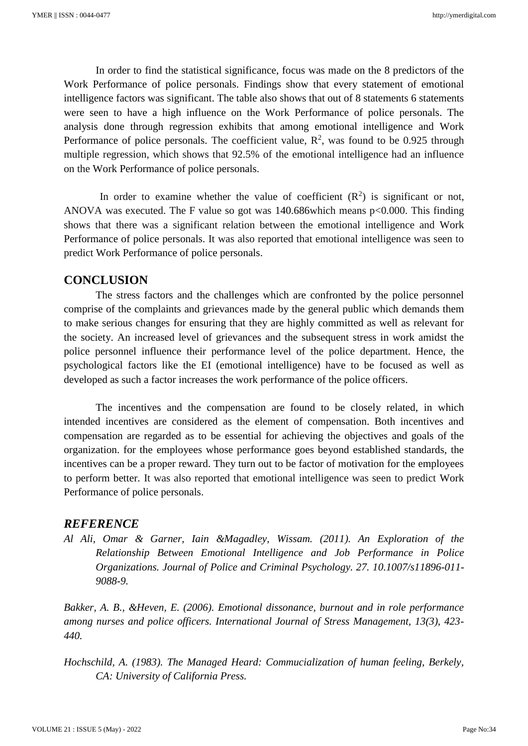In order to find the statistical significance, focus was made on the 8 predictors of the Work Performance of police personals. Findings show that every statement of emotional intelligence factors was significant. The table also shows that out of 8 statements 6 statements were seen to have a high influence on the Work Performance of police personals. The analysis done through regression exhibits that among emotional intelligence and Work Performance of police personals. The coefficient value,  $R^2$ , was found to be 0.925 through multiple regression, which shows that 92.5% of the emotional intelligence had an influence on the Work Performance of police personals.

In order to examine whether the value of coefficient  $(R^2)$  is significant or not, ANOVA was executed. The F value so got was 140.686which means p<0.000. This finding shows that there was a significant relation between the emotional intelligence and Work Performance of police personals. It was also reported that emotional intelligence was seen to predict Work Performance of police personals.

## **CONCLUSION**

The stress factors and the challenges which are confronted by the police personnel comprise of the complaints and grievances made by the general public which demands them to make serious changes for ensuring that they are highly committed as well as relevant for the society. An increased level of grievances and the subsequent stress in work amidst the police personnel influence their performance level of the police department. Hence, the psychological factors like the EI (emotional intelligence) have to be focused as well as developed as such a factor increases the work performance of the police officers.

The incentives and the compensation are found to be closely related, in which intended incentives are considered as the element of compensation. Both incentives and compensation are regarded as to be essential for achieving the objectives and goals of the organization. for the employees whose performance goes beyond established standards, the incentives can be a proper reward. They turn out to be factor of motivation for the employees to perform better. It was also reported that emotional intelligence was seen to predict Work Performance of police personals.

## *REFERENCE*

*Al Ali, Omar & Garner, Iain &Magadley, Wissam. (2011). An Exploration of the Relationship Between Emotional Intelligence and Job Performance in Police Organizations. Journal of Police and Criminal Psychology. 27. 10.1007/s11896-011- 9088-9.*

*Bakker, A. B., &Heven, E. (2006). Emotional dissonance, burnout and in role performance among nurses and police officers. International Journal of Stress Management, 13(3), 423- 440.*

*Hochschild, A. (1983). The Managed Heard: Commucialization of human feeling, Berkely, CA: University of California Press.*